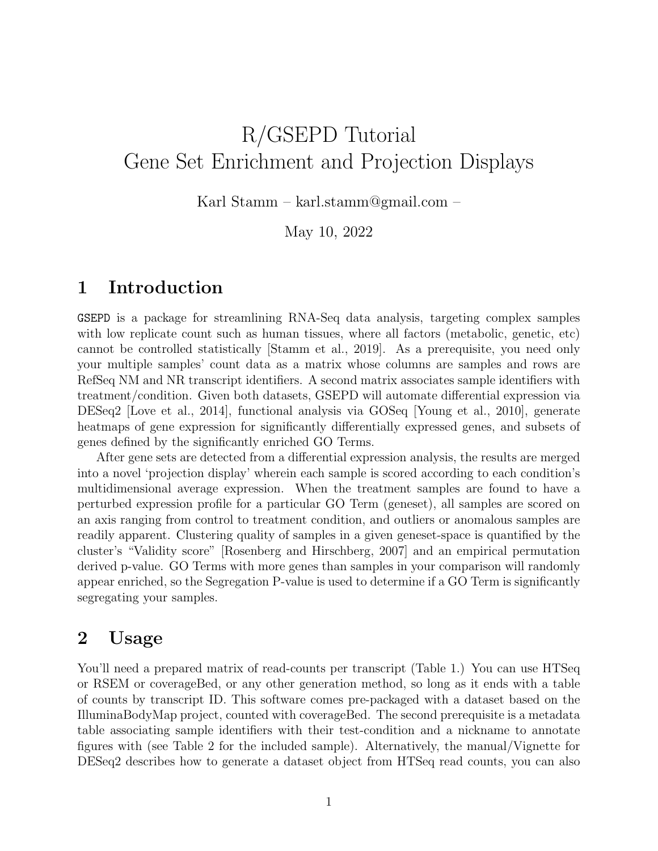# R/GSEPD Tutorial Gene Set Enrichment and Projection Displays

Karl Stamm – karl.stamm@gmail.com –

May 10, 2022

# 1 Introduction

GSEPD is a package for streamlining RNA-Seq data analysis, targeting complex samples with low replicate count such as human tissues, where all factors (metabolic, genetic, etc) cannot be controlled statistically [Stamm et al., 2019]. As a prerequisite, you need only your multiple samples' count data as a matrix whose columns are samples and rows are RefSeq NM and NR transcript identifiers. A second matrix associates sample identifiers with treatment/condition. Given both datasets, GSEPD will automate differential expression via DESeq2 [Love et al., 2014], functional analysis via GOSeq [Young et al., 2010], generate heatmaps of gene expression for significantly differentially expressed genes, and subsets of genes defined by the significantly enriched GO Terms.

After gene sets are detected from a differential expression analysis, the results are merged into a novel 'projection display' wherein each sample is scored according to each condition's multidimensional average expression. When the treatment samples are found to have a perturbed expression profile for a particular GO Term (geneset), all samples are scored on an axis ranging from control to treatment condition, and outliers or anomalous samples are readily apparent. Clustering quality of samples in a given geneset-space is quantified by the cluster's "Validity score" [Rosenberg and Hirschberg, 2007] and an empirical permutation derived p-value. GO Terms with more genes than samples in your comparison will randomly appear enriched, so the Segregation P-value is used to determine if a GO Term is significantly segregating your samples.

### 2 Usage

You'll need a prepared matrix of read-counts per transcript (Table 1.) You can use HTSeq or RSEM or coverageBed, or any other generation method, so long as it ends with a table of counts by transcript ID. This software comes pre-packaged with a dataset based on the IlluminaBodyMap project, counted with coverageBed. The second prerequisite is a metadata table associating sample identifiers with their test-condition and a nickname to annotate figures with (see Table 2 for the included sample). Alternatively, the manual/Vignette for DESeq2 describes how to generate a dataset object from HTSeq read counts, you can also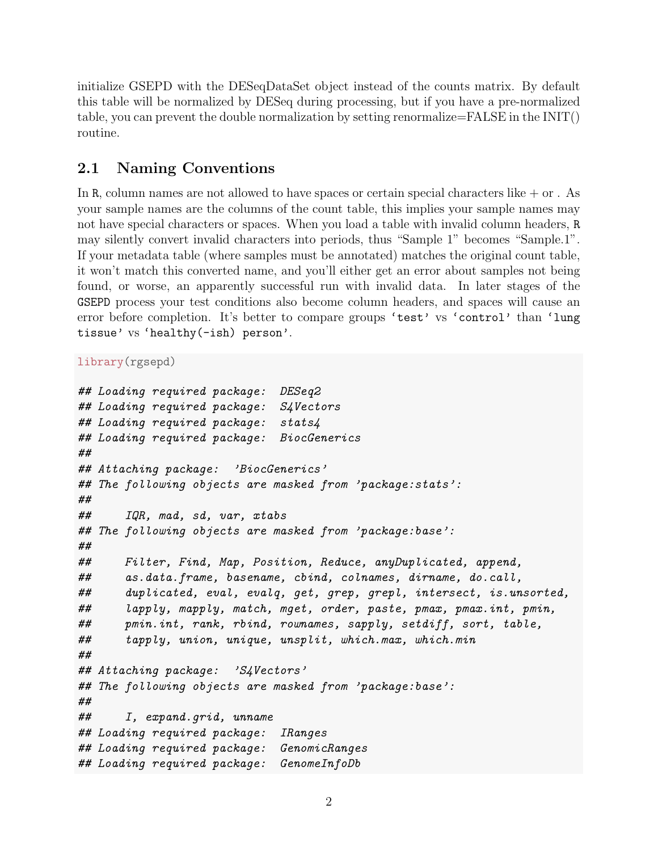initialize GSEPD with the DESeqDataSet object instead of the counts matrix. By default this table will be normalized by DESeq during processing, but if you have a pre-normalized table, you can prevent the double normalization by setting renormalize=FALSE in the INIT() routine.

### 2.1 Naming Conventions

In R, column names are not allowed to have spaces or certain special characters like  $+$  or . As your sample names are the columns of the count table, this implies your sample names may not have special characters or spaces. When you load a table with invalid column headers, R may silently convert invalid characters into periods, thus "Sample 1" becomes "Sample.1". If your metadata table (where samples must be annotated) matches the original count table, it won't match this converted name, and you'll either get an error about samples not being found, or worse, an apparently successful run with invalid data. In later stages of the GSEPD process your test conditions also become column headers, and spaces will cause an error before completion. It's better to compare groups 'test' vs 'control' than 'lung tissue' vs 'healthy(-ish) person'.

library(rgsepd)

```
## Loading required package: DESeq2
## Loading required package: S4Vectors
## Loading required package: stats4
## Loading required package: BiocGenerics
##
## Attaching package: 'BiocGenerics'
## The following objects are masked from 'package:stats':
##
## IQR, mad, sd, var, xtabs
## The following objects are masked from 'package:base':
##
## Filter, Find, Map, Position, Reduce, anyDuplicated, append,
## as.data.frame, basename, cbind, colnames, dirname, do.call,
## duplicated, eval, evalq, get, grep, grepl, intersect, is.unsorted,
## lapply, mapply, match, mget, order, paste, pmax, pmax.int, pmin,
## pmin.int, rank, rbind, rownames, sapply, setdiff, sort, table,
## tapply, union, unique, unsplit, which.max, which.min
##
## Attaching package: 'S4Vectors'
## The following objects are masked from 'package:base':
##
## I, expand.grid, unname
## Loading required package: IRanges
## Loading required package: GenomicRanges
## Loading required package: GenomeInfoDb
```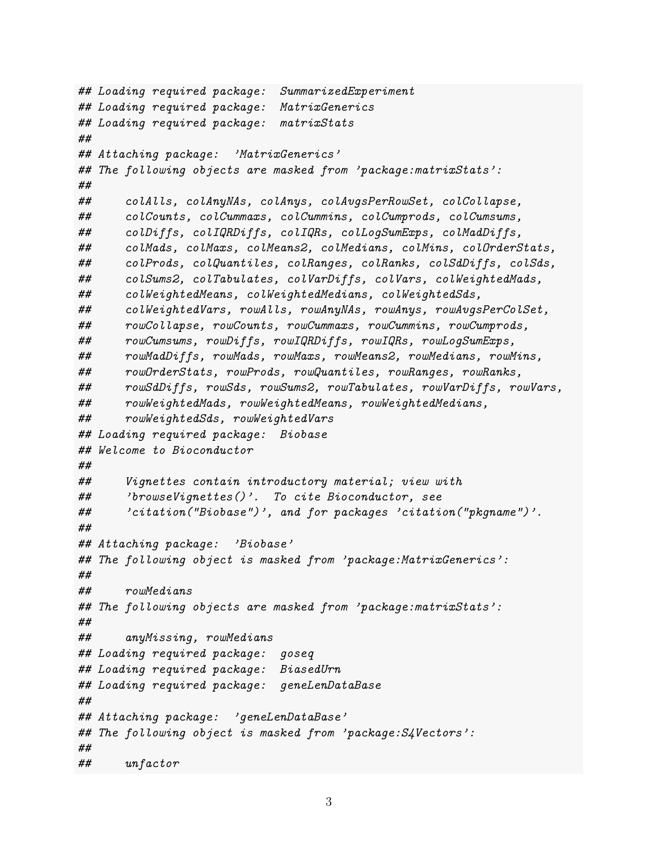```
## Loading required package: SummarizedExperiment
## Loading required package: MatrixGenerics
## Loading required package: matrixStats
##
## Attaching package: 'MatrixGenerics'
## The following objects are masked from 'package:matrixStats':
##
## colAlls, colAnyNAs, colAnys, colAvgsPerRowSet, colCollapse,
## colCounts, colCummaxs, colCummins, colCumprods, colCumsums,
## colDiffs, colIQRDiffs, colIQRs, colLogSumExps, colMadDiffs,
## colMads, colMaxs, colMeans2, colMedians, colMins, colOrderStats,
## colProds, colQuantiles, colRanges, colRanks, colSdDiffs, colSds,
## colSums2, colTabulates, colVarDiffs, colVars, colWeightedMads,
## colWeightedMeans, colWeightedMedians, colWeightedSds,
## colWeightedVars, rowAlls, rowAnyNAs, rowAnys, rowAvgsPerColSet,
## rowCollapse, rowCounts, rowCummaxs, rowCummins, rowCumprods,
## rowCumsums, rowDiffs, rowIQRDiffs, rowIQRs, rowLogSumExps,
## rowMadDiffs, rowMads, rowMaxs, rowMeans2, rowMedians, rowMins,
## rowOrderStats, rowProds, rowQuantiles, rowRanges, rowRanks,
## rowSdDiffs, rowSds, rowSums2, rowTabulates, rowVarDiffs, rowVars,
## rowWeightedMads, rowWeightedMeans, rowWeightedMedians,
## rowWeightedSds, rowWeightedVars
## Loading required package: Biobase
## Welcome to Bioconductor
##
## Vignettes contain introductory material; view with
## 'browseVignettes()'. To cite Bioconductor, see
## 'citation("Biobase")', and for packages 'citation("pkgname")'.
##
## Attaching package: 'Biobase'
## The following object is masked from 'package:MatrixGenerics':
##
## rowMedians
## The following objects are masked from 'package:matrixStats':
##
## anyMissing, rowMedians
## Loading required package: goseq
## Loading required package: BiasedUrn
## Loading required package: geneLenDataBase
##
## Attaching package: 'geneLenDataBase'
## The following object is masked from 'package:S4Vectors':
##
## unfactor
```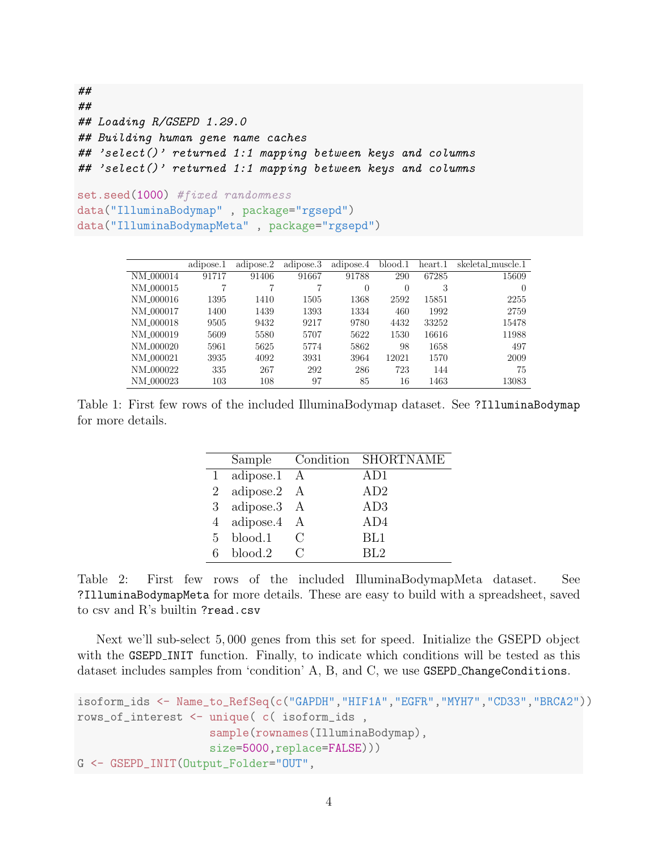```
##
##
## Loading R/GSEPD 1.29.0
## Building human gene name caches
## 'select()' returned 1:1 mapping between keys and columns
## 'select()' returned 1:1 mapping between keys and columns
set.seed(1000) #fixed randomness
data("IlluminaBodymap" , package="rgsepd")
data("IlluminaBodymapMeta" , package="rgsepd")
```

|                       | adipose.1 | adipose.2 | adipose.3 | adipose.4 | blood.1 | heart.1 | skeletal_muscle.1 |
|-----------------------|-----------|-----------|-----------|-----------|---------|---------|-------------------|
| NM <sub>-000014</sub> | 91717     | 91406     | 91667     | 91788     | 290     | 67285   | 15609             |
| NM <sub>-000015</sub> | 7         |           |           | 0         | 0       | 3       | $\Omega$          |
| NM <sub>-000016</sub> | 1395      | 1410      | 1505      | 1368      | 2592    | 15851   | 2255              |
| NM <sub>-000017</sub> | 1400      | 1439      | 1393      | 1334      | 460     | 1992    | 2759              |
| NM <sub>-000018</sub> | 9505      | 9432      | 9217      | 9780      | 4432    | 33252   | 15478             |
| NM <sub>-000019</sub> | 5609      | 5580      | 5707      | 5622      | 1530    | 16616   | 11988             |
| NM <sub>-000020</sub> | 5961      | 5625      | 5774      | 5862      | 98      | 1658    | 497               |
| NM <sub>-000021</sub> | 3935      | 4092      | 3931      | 3964      | 12021   | 1570    | 2009              |
| NM <sub>-000022</sub> | 335       | 267       | 292       | 286       | 723     | 144     | 75                |
| NM <sub>-000023</sub> | 103       | 108       | 97        | 85        | 16      | 1463    | 13083             |

Table 1: First few rows of the included IlluminaBodymap dataset. See ?IlluminaBodymap for more details.

| Sample                   |               | Condition SHORTNAME |
|--------------------------|---------------|---------------------|
| 1 adipose.1 A            |               | AD1                 |
| 2 adipose.2 A            |               | AD2                 |
| 3 adipose.3 A            |               | AD3                 |
| 4 adipose.4 A            |               | AD4                 |
| $5 \quad \text{blood.1}$ | $\mathcal{C}$ | BL1                 |
| blood.2                  |               | RL2                 |

Table 2: First few rows of the included IlluminaBodymapMeta dataset. See ?IlluminaBodymapMeta for more details. These are easy to build with a spreadsheet, saved to csv and R's builtin ?read.csv

Next we'll sub-select 5, 000 genes from this set for speed. Initialize the GSEPD object with the GSEPD\_INIT function. Finally, to indicate which conditions will be tested as this dataset includes samples from 'condition' A, B, and C, we use GSEPD ChangeConditions.

```
isoform_ids <- Name_to_RefSeq(c("GAPDH","HIF1A","EGFR","MYH7","CD33","BRCA2"))
rows_of_interest <- unique( c( isoform_ids ,
                    sample(rownames(IlluminaBodymap),
                    size=5000,replace=FALSE)))
G <- GSEPD_INIT(Output_Folder="OUT",
```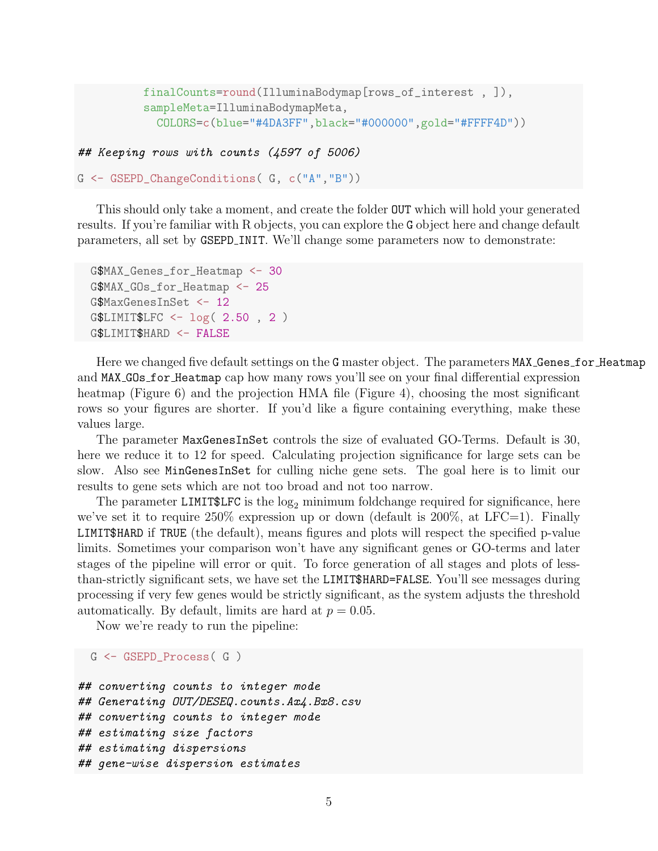```
finalCounts=round(IlluminaBodymap[rows_of_interest , ]),
sampleMeta=IlluminaBodymapMeta,
  COLORS=c(blue="#4DA3FF",black="#000000",gold="#FFFF4D"))
```
## Keeping rows with counts (4597 of 5006)

```
G <- GSEPD_ChangeConditions( G, c("A","B"))
```
This should only take a moment, and create the folder OUT which will hold your generated results. If you're familiar with R objects, you can explore the G object here and change default parameters, all set by GSEPD INIT. We'll change some parameters now to demonstrate:

```
G$MAX_Genes_for_Heatmap <- 30
G$MAX_GOs_for_Heatmap <- 25
G$MaxGenesInSet <- 12
G$LIMIT$LFC <- log( 2.50 , 2 )
G$LIMIT$HARD <- FALSE
```
Here we changed five default settings on the G master object. The parameters MAX Genes for Heatmap and MAX GOs for Heatmap cap how many rows you'll see on your final differential expression heatmap (Figure 6) and the projection HMA file (Figure 4), choosing the most significant rows so your figures are shorter. If you'd like a figure containing everything, make these values large.

The parameter MaxGenesInSet controls the size of evaluated GO-Terms. Default is 30, here we reduce it to 12 for speed. Calculating projection significance for large sets can be slow. Also see MinGenesInSet for culling niche gene sets. The goal here is to limit our results to gene sets which are not too broad and not too narrow.

The parameter LIMIT \$LFC is the  $log_2$  minimum foldchange required for significance, here we've set it to require  $250\%$  expression up or down (default is  $200\%$ , at LFC=1). Finally LIMIT\$HARD if TRUE (the default), means figures and plots will respect the specified p-value limits. Sometimes your comparison won't have any significant genes or GO-terms and later stages of the pipeline will error or quit. To force generation of all stages and plots of lessthan-strictly significant sets, we have set the LIMIT\$HARD=FALSE. You'll see messages during processing if very few genes would be strictly significant, as the system adjusts the threshold automatically. By default, limits are hard at  $p = 0.05$ .

Now we're ready to run the pipeline:

```
G <- GSEPD_Process( G )
```

```
## converting counts to integer mode
## Generating OUT/DESEQ.counts.Ax4.Bx8.csv
## converting counts to integer mode
## estimating size factors
## estimating dispersions
## gene-wise dispersion estimates
```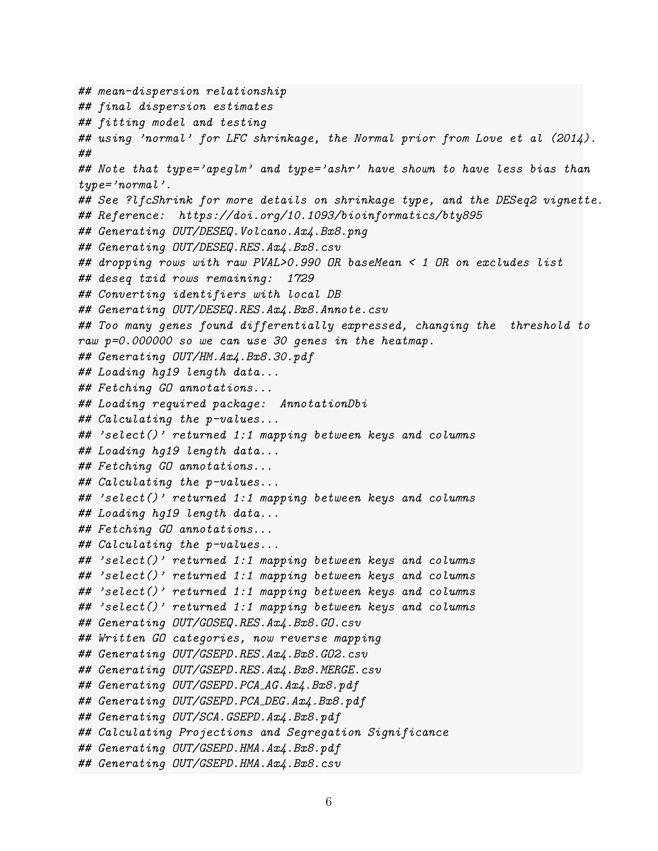## mean-dispersion relationship ## final dispersion estimates ## fitting model and testing ## using 'normal' for LFC shrinkage, the Normal prior from Love et al (2014). ## ## Note that type='apeglm' and type='ashr' have shown to have less bias than type='normal'. ## See ?lfcShrink for more details on shrinkage type, and the DESeq2 vignette. ## Reference: https://doi.org/10.1093/bioinformatics/bty895 ## Generating OUT/DESEQ.Volcano.Ax4.Bx8.png ## Generating OUT/DESEQ.RES.Ax4.Bx8.csv ## dropping rows with raw PVAL>0.990 OR baseMean < 1 OR on excludes list ## deseq txid rows remaining: 1729 ## Converting identifiers with local DB ## Generating OUT/DESEQ.RES.Ax4.Bx8.Annote.csv ## Too many genes found differentially expressed, changing the threshold to raw p=0.000000 so we can use 30 genes in the heatmap. ## Generating OUT/HM.Ax4.Bx8.30.pdf ## Loading hg19 length data... ## Fetching GO annotations... ## Loading required package: AnnotationDbi ## Calculating the p-values... ## 'select()' returned 1:1 mapping between keys and columns ## Loading hg19 length data... ## Fetching GO annotations... ## Calculating the p-values... ## 'select()' returned 1:1 mapping between keys and columns ## Loading hg19 length data... ## Fetching GO annotations... ## Calculating the p-values... ## 'select()' returned 1:1 mapping between keys and columns ## 'select()' returned 1:1 mapping between keys and columns ## 'select()' returned 1:1 mapping between keys and columns ## 'select()' returned 1:1 mapping between keys and columns ## Generating OUT/GOSEQ.RES.Ax4.Bx8.GO.csv ## Written GO categories, now reverse mapping ## Generating OUT/GSEPD.RES.Ax4.Bx8.GO2.csv ## Generating OUT/GSEPD.RES.Ax4.Bx8.MERGE.csv ## Generating OUT/GSEPD.PCA AG.Ax4.Bx8.pdf ## Generating OUT/GSEPD.PCA\_DEG.Ax4.Bx8.pdf ## Generating OUT/SCA.GSEPD.Ax4.Bx8.pdf ## Calculating Projections and Segregation Significance ## Generating OUT/GSEPD.HMA.Ax4.Bx8.pdf ## Generating OUT/GSEPD.HMA.Ax4.Bx8.csv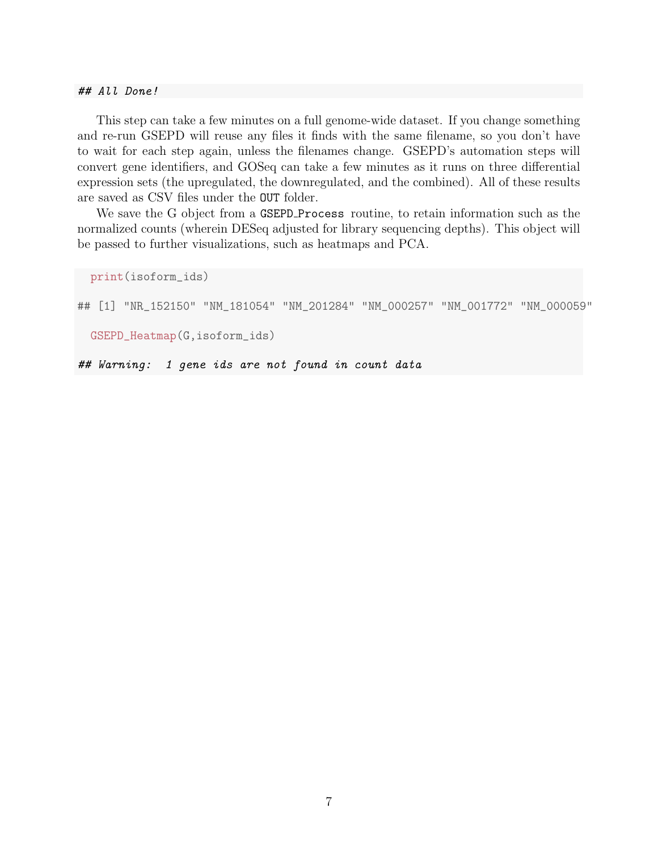## All Done!

This step can take a few minutes on a full genome-wide dataset. If you change something and re-run GSEPD will reuse any files it finds with the same filename, so you don't have to wait for each step again, unless the filenames change. GSEPD's automation steps will convert gene identifiers, and GOSeq can take a few minutes as it runs on three differential expression sets (the upregulated, the downregulated, and the combined). All of these results are saved as CSV files under the OUT folder.

We save the G object from a GSEPD Process routine, to retain information such as the normalized counts (wherein DESeq adjusted for library sequencing depths). This object will be passed to further visualizations, such as heatmaps and PCA.

```
print(isoform_ids)
## [1] "NR_152150" "NM_181054" "NM_201284" "NM_000257" "NM_001772" "NM_000059"
 GSEPD_Heatmap(G,isoform_ids)
```
## Warning: 1 gene ids are not found in count data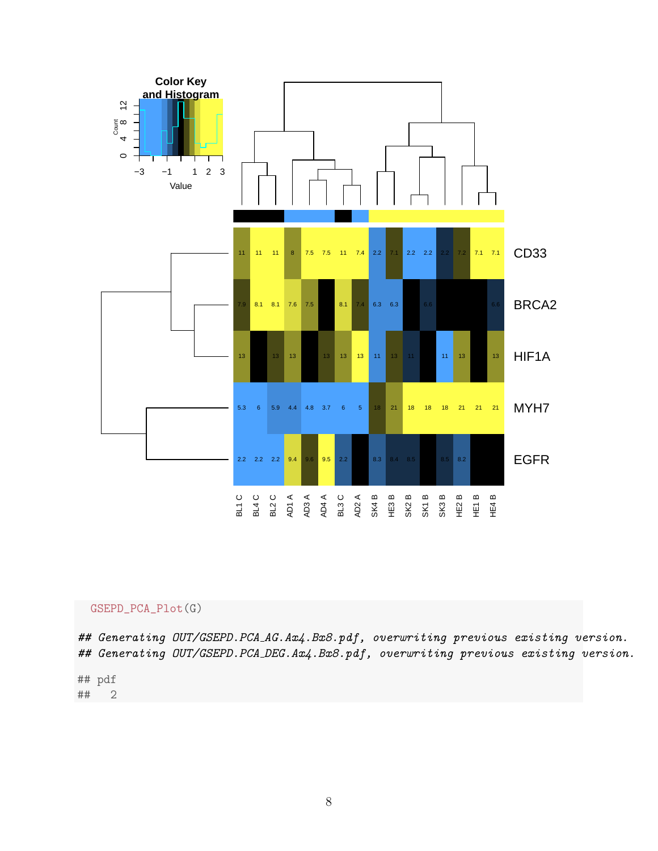

#### GSEPD\_PCA\_Plot(G)

## Generating OUT/GSEPD.PCA\_AG.Ax4.Bx8.pdf, overwriting previous existing version. ## Generating OUT/GSEPD.PCA\_DEG.Ax4.Bx8.pdf, overwriting previous existing version.

## pdf ## 2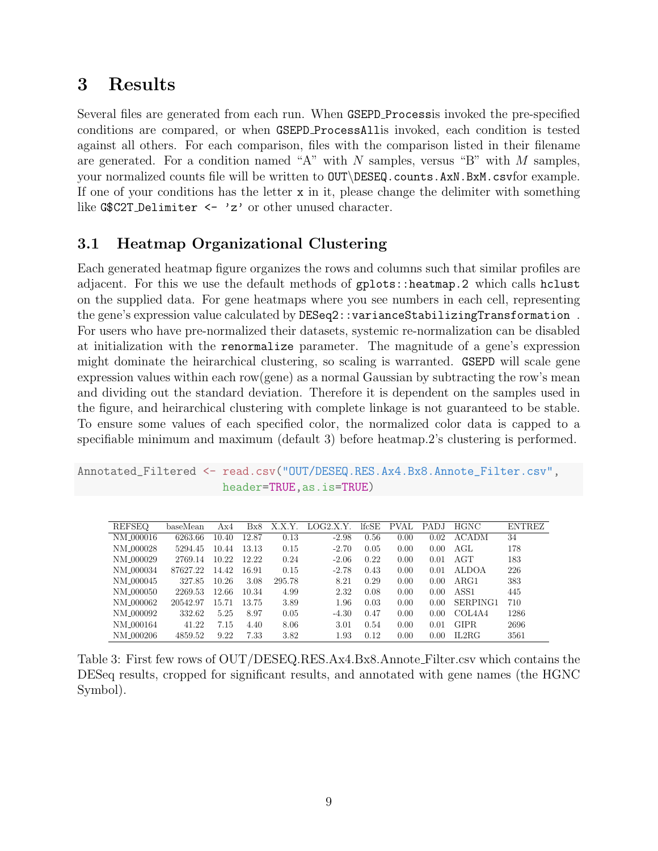# 3 Results

Several files are generated from each run. When GSEPD Processis invoked the pre-specified conditions are compared, or when GSEPD ProcessAllis invoked, each condition is tested against all others. For each comparison, files with the comparison listed in their filename are generated. For a condition named "A" with  $N$  samples, versus "B" with  $M$  samples, your normalized counts file will be written to OUT\DESEQ.counts.AxN.BxM.csvfor example. If one of your conditions has the letter  $x$  in it, please change the delimiter with something like G\$C2T\_Delimiter <- 'z' or other unused character.

## 3.1 Heatmap Organizational Clustering

Each generated heatmap figure organizes the rows and columns such that similar profiles are adjacent. For this we use the default methods of gplots::heatmap.2 which calls hclust on the supplied data. For gene heatmaps where you see numbers in each cell, representing the gene's expression value calculated by DESeq2::varianceStabilizingTransformation . For users who have pre-normalized their datasets, systemic re-normalization can be disabled at initialization with the renormalize parameter. The magnitude of a gene's expression might dominate the heirarchical clustering, so scaling is warranted. GSEPD will scale gene expression values within each row(gene) as a normal Gaussian by subtracting the row's mean and dividing out the standard deviation. Therefore it is dependent on the samples used in the figure, and heirarchical clustering with complete linkage is not guaranteed to be stable. To ensure some values of each specified color, the normalized color data is capped to a specifiable minimum and maximum (default 3) before heatmap.2's clustering is performed.

```
Annotated_Filtered <- read.csv("OUT/DESEQ.RES.Ax4.Bx8.Annote_Filter.csv",
                      header=TRUE,as.is=TRUE)
```

| <b>REFSEQ</b>         | baseMean | Ax4   | Bx8   | X.X.Y. | LOG2.X.Y. | lfcSE | <b>PVAL</b> | PADJ | <b>HGNC</b>                     | <b>ENTREZ</b> |
|-----------------------|----------|-------|-------|--------|-----------|-------|-------------|------|---------------------------------|---------------|
| NM_000016             | 6263.66  | 10.40 | 12.87 | 0.13   | $-2.98$   | 0.56  | 0.00        | 0.02 | <b>ACADM</b>                    | 34            |
| NM_000028             | 5294.45  | 10.44 | 13.13 | 0.15   | $-2.70$   | 0.05  | 0.00        | 0.00 | AGL                             | 178           |
| NM_000029             | 2769.14  | 10.22 | 12.22 | 0.24   | $-2.06$   | 0.22  | 0.00        | 0.01 | AGT                             | 183           |
| NM_000034             | 87627.22 | 14.42 | 16.91 | 0.15   | $-2.78$   | 0.43  | 0.00        | 0.01 | <b>ALDOA</b>                    | 226           |
| NM_000045             | 327.85   | 10.26 | 3.08  | 295.78 | 8.21      | 0.29  | 0.00        | 0.00 | ARG1                            | 383           |
| NM 000050             | 2269.53  | 12.66 | 10.34 | 4.99   | 2.32      | 0.08  | 0.00        | 0.00 | ASS1                            | 445           |
| NM 000062             | 20542.97 | 15.71 | 13.75 | 3.89   | 1.96      | 0.03  | 0.00        | 0.00 | SERPING1                        | 710           |
| NM 000092             | 332.62   | 5.25  | 8.97  | 0.05   | $-4.30$   | 0.47  | 0.00        | 0.00 | COL <sub>4</sub> A <sub>4</sub> | 1286          |
| NM <sub>-000164</sub> | 41.22    | 7.15  | 4.40  | 8.06   | 3.01      | 0.54  | 0.00        | 0.01 | <b>GIPR</b>                     | 2696          |
| NM_000206             | 4859.52  | 9.22  | 7.33  | 3.82   | 1.93      | 0.12  | 0.00        | 0.00 | IL2RG                           | 3561          |

Table 3: First few rows of OUT/DESEQ.RES.Ax4.Bx8.Annote Filter.csv which contains the DESeq results, cropped for significant results, and annotated with gene names (the HGNC Symbol).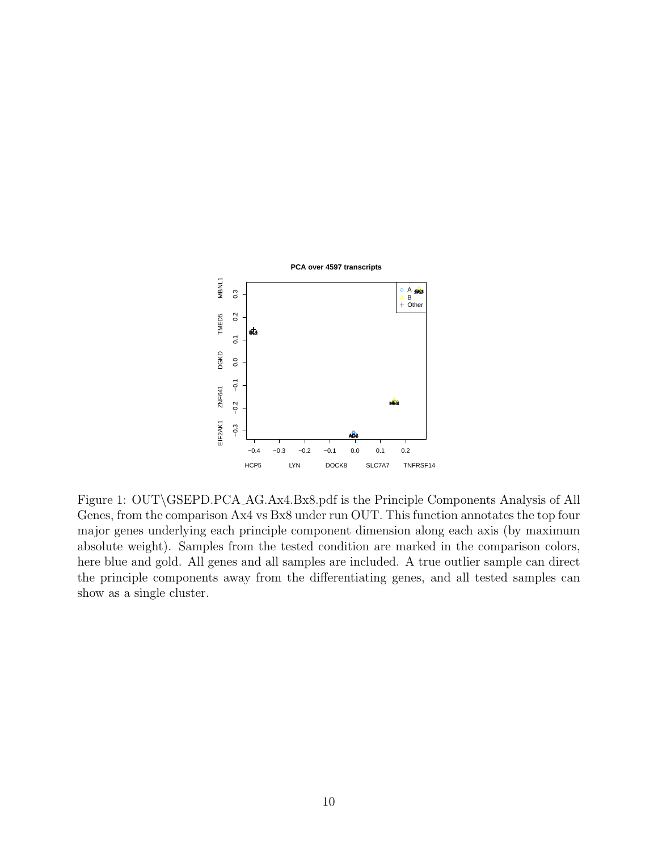

Figure 1: OUT\GSEPD.PCA AG.Ax4.Bx8.pdf is the Principle Components Analysis of All Genes, from the comparison Ax4 vs Bx8 under run OUT. This function annotates the top four major genes underlying each principle component dimension along each axis (by maximum absolute weight). Samples from the tested condition are marked in the comparison colors, here blue and gold. All genes and all samples are included. A true outlier sample can direct the principle components away from the differentiating genes, and all tested samples can show as a single cluster.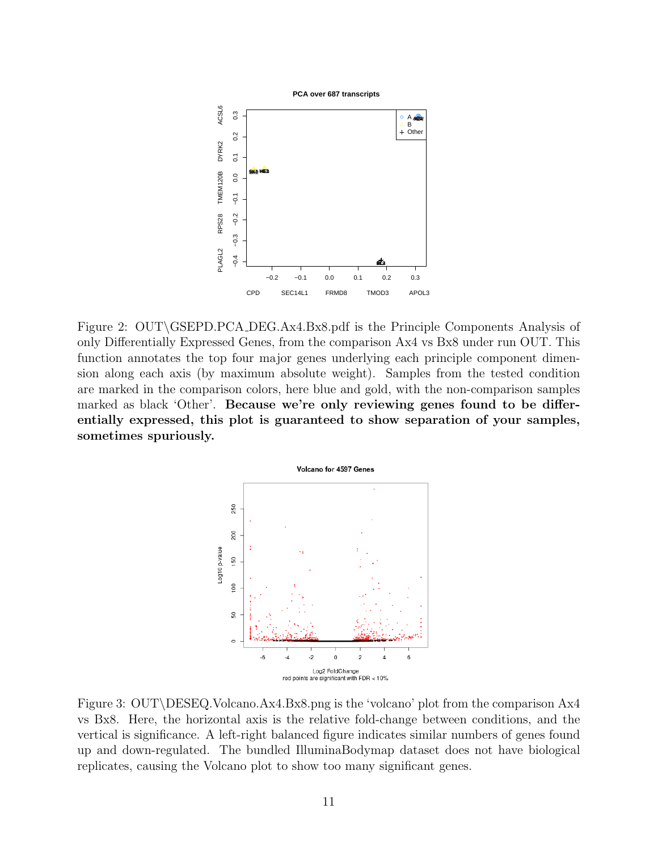

Figure 2: OUT\GSEPD.PCA DEG.Ax4.Bx8.pdf is the Principle Components Analysis of only Differentially Expressed Genes, from the comparison Ax4 vs Bx8 under run OUT. This function annotates the top four major genes underlying each principle component dimension along each axis (by maximum absolute weight). Samples from the tested condition are marked in the comparison colors, here blue and gold, with the non-comparison samples marked as black 'Other'. Because we're only reviewing genes found to be differentially expressed, this plot is guaranteed to show separation of your samples, sometimes spuriously.



Figure 3: OUT\DESEQ.Volcano.Ax4.Bx8.png is the 'volcano' plot from the comparison Ax4 vs Bx8. Here, the horizontal axis is the relative fold-change between conditions, and the vertical is significance. A left-right balanced figure indicates similar numbers of genes found up and down-regulated. The bundled IlluminaBodymap dataset does not have biological replicates, causing the Volcano plot to show too many significant genes.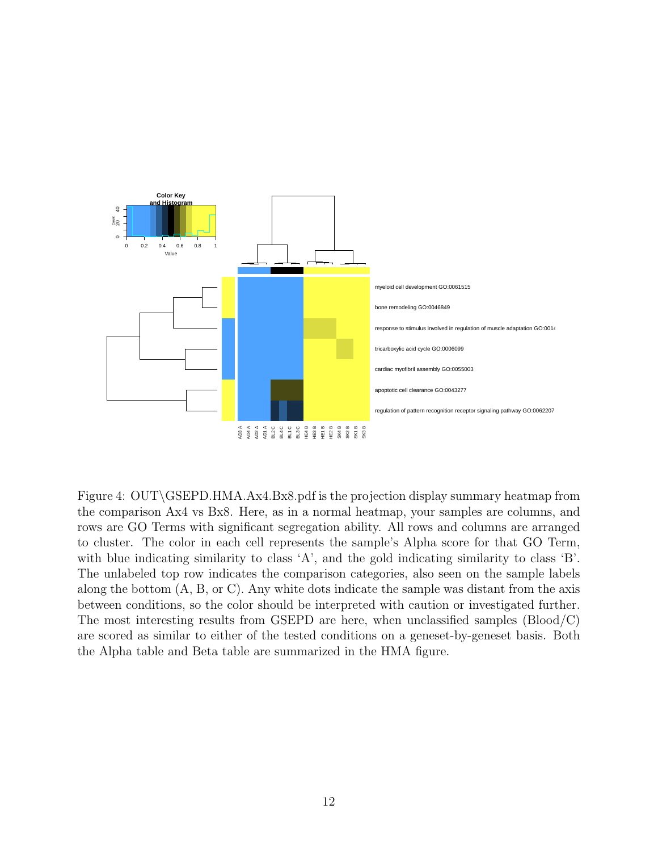

Figure 4: OUT\GSEPD.HMA.Ax4.Bx8.pdf is the projection display summary heatmap from the comparison Ax4 vs Bx8. Here, as in a normal heatmap, your samples are columns, and rows are GO Terms with significant segregation ability. All rows and columns are arranged to cluster. The color in each cell represents the sample's Alpha score for that GO Term, with blue indicating similarity to class 'A', and the gold indicating similarity to class 'B'. The unlabeled top row indicates the comparison categories, also seen on the sample labels along the bottom (A, B, or C). Any white dots indicate the sample was distant from the axis between conditions, so the color should be interpreted with caution or investigated further. The most interesting results from GSEPD are here, when unclassified samples (Blood/C) are scored as similar to either of the tested conditions on a geneset-by-geneset basis. Both the Alpha table and Beta table are summarized in the HMA figure.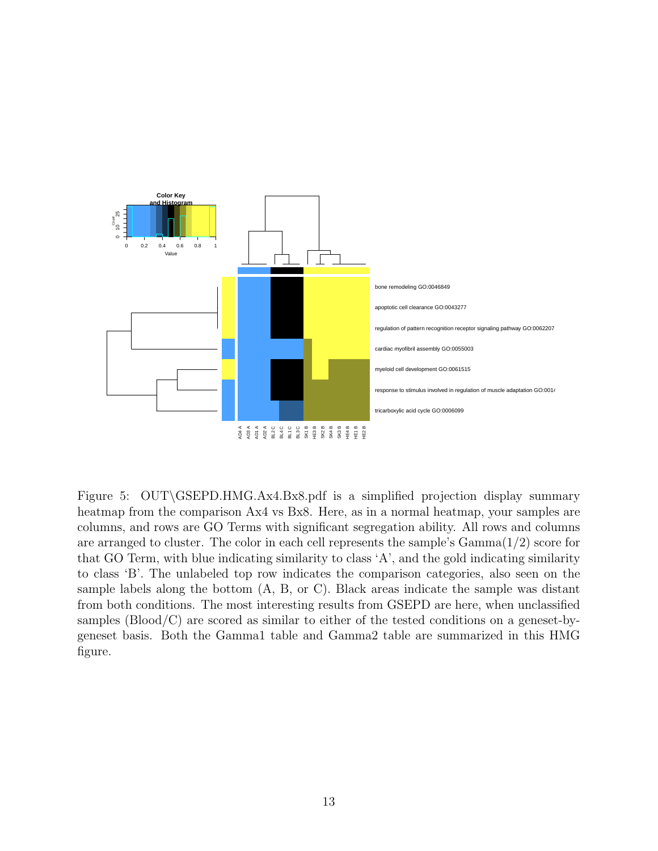

Figure 5: OUT\GSEPD.HMG.Ax4.Bx8.pdf is a simplified projection display summary heatmap from the comparison Ax4 vs Bx8. Here, as in a normal heatmap, your samples are columns, and rows are GO Terms with significant segregation ability. All rows and columns are arranged to cluster. The color in each cell represents the sample's  $Gamma(1/2)$  score for that GO Term, with blue indicating similarity to class 'A', and the gold indicating similarity to class 'B'. The unlabeled top row indicates the comparison categories, also seen on the sample labels along the bottom (A, B, or C). Black areas indicate the sample was distant from both conditions. The most interesting results from GSEPD are here, when unclassified samples (Blood/C) are scored as similar to either of the tested conditions on a geneset-bygeneset basis. Both the Gamma1 table and Gamma2 table are summarized in this HMG figure.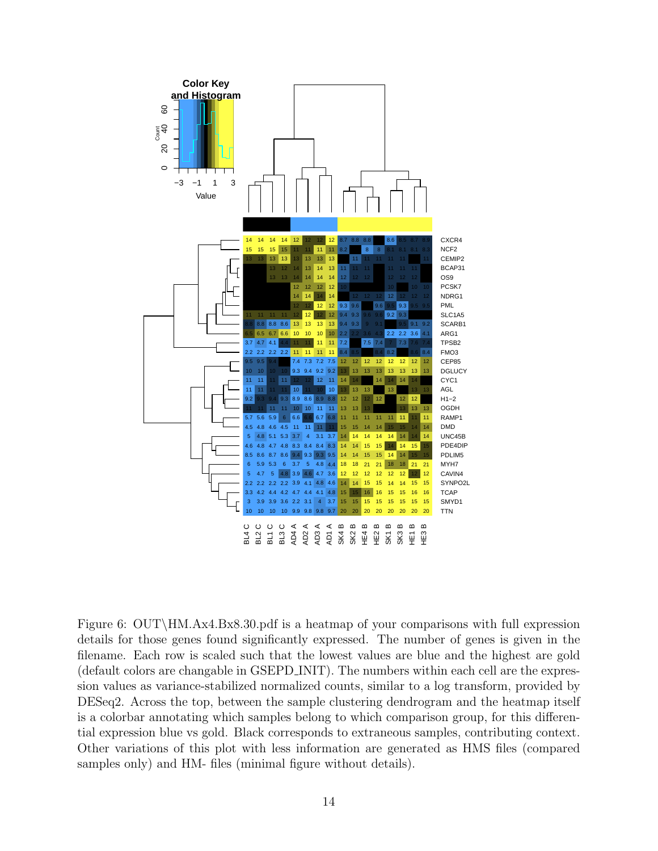

Figure 6: OUT\HM.Ax4.Bx8.30.pdf is a heatmap of your comparisons with full expression details for those genes found significantly expressed. The number of genes is given in the filename. Each row is scaled such that the lowest values are blue and the highest are gold (default colors are changable in GSEPD INIT). The numbers within each cell are the expression values as variance-stabilized normalized counts, similar to a log transform, provided by DESeq2. Across the top, between the sample clustering dendrogram and the heatmap itself is a colorbar annotating which samples belong to which comparison group, for this differential expression blue vs gold. Black corresponds to extraneous samples, contributing context. Other variations of this plot with less information are generated as HMS files (compared samples only) and HM- files (minimal figure without details).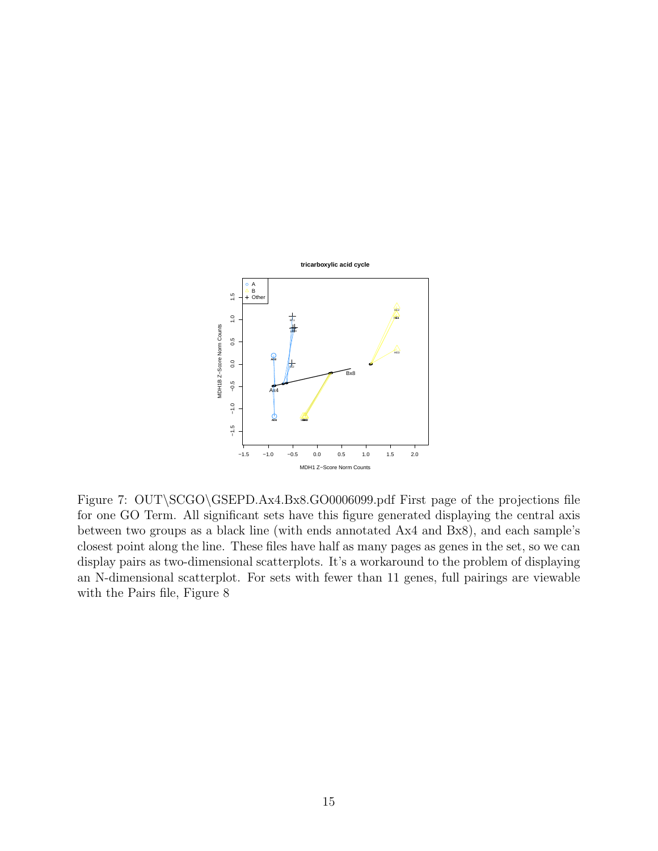

Figure 7: OUT\SCGO\GSEPD.Ax4.Bx8.GO0006099.pdf First page of the projections file for one GO Term. All significant sets have this figure generated displaying the central axis between two groups as a black line (with ends annotated Ax4 and Bx8), and each sample's closest point along the line. These files have half as many pages as genes in the set, so we can display pairs as two-dimensional scatterplots. It's a workaround to the problem of displaying an N-dimensional scatterplot. For sets with fewer than 11 genes, full pairings are viewable with the Pairs file, Figure 8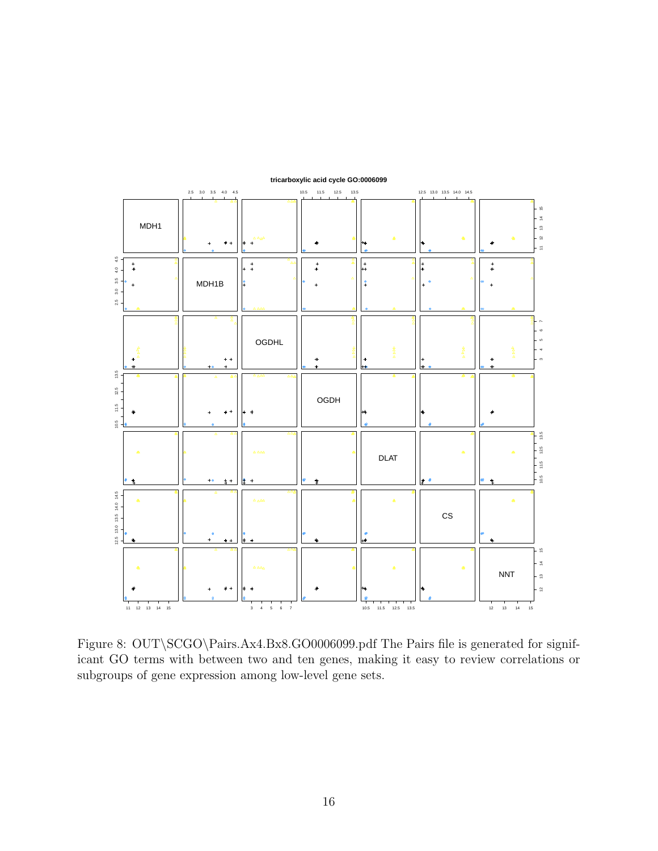

**tricarboxylic acid cycle GO:0006099**

Figure 8: OUT\SCGO\Pairs.Ax4.Bx8.GO0006099.pdf The Pairs file is generated for significant GO terms with between two and ten genes, making it easy to review correlations or subgroups of gene expression among low-level gene sets.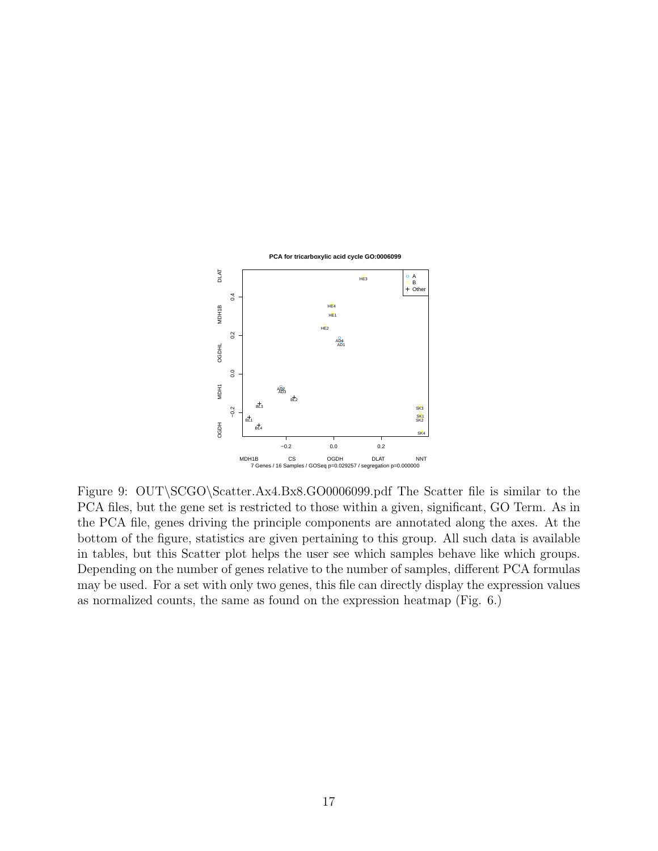

Figure 9: OUT\SCGO\Scatter.Ax4.Bx8.GO0006099.pdf The Scatter file is similar to the PCA files, but the gene set is restricted to those within a given, significant, GO Term. As in the PCA file, genes driving the principle components are annotated along the axes. At the bottom of the figure, statistics are given pertaining to this group. All such data is available in tables, but this Scatter plot helps the user see which samples behave like which groups. Depending on the number of genes relative to the number of samples, different PCA formulas may be used. For a set with only two genes, this file can directly display the expression values as normalized counts, the same as found on the expression heatmap (Fig. 6.)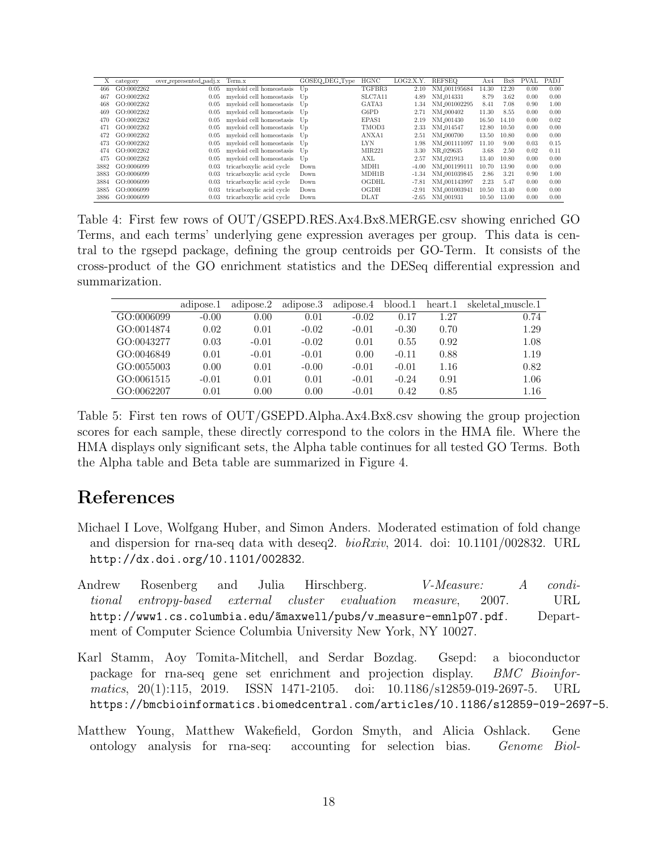| myeloid cell homeostasis<br>TGFBR3<br>GO:0002262<br>NM_001195684<br>12.20<br>466<br>14.30<br>0.00<br>2.10<br>0.05<br>Up<br>SLC7A11<br>GO:0002262<br>NM_014331<br>8.79<br>467<br>myeloid cell homeostasis<br>3.62<br>0.00<br>4.89<br>0.05<br>Up<br>GATA3<br>GO:0002262<br>myeloid cell homeostasis<br>7.08<br>NM_001002295<br>8.41<br>0.90<br>468<br>0.05<br>1.34<br>Up<br>myeloid cell homeostasis<br>G6PD<br>GO:0002262<br>NM <sub>-000402</sub><br>11.30<br>8.55<br>469<br>0.00<br>2.71<br>0.05<br>Up<br>myeloid cell homeostasis<br>EPAS1<br>GO:0002262<br>NM <sub>-001430</sub><br>16.50<br>0.00<br>14.10<br>470<br>0.05<br>2.19<br>Up<br>myeloid cell homeostasis<br>TMOD3<br>GO:0002262<br>NM 014547<br>12.80<br>0.00<br>10.50<br>471<br>2.33<br>0.05<br>Up<br>ANXA1<br>GO:0002262<br>myeloid cell homeostasis<br>13.50<br>NM_000700<br>0.00<br>10.80<br>472<br>0.05<br>2.51<br>Up<br>myeloid cell homeostasis<br><b>LYN</b><br>GO:0002262<br>NM_001111097<br>11.10<br>9.00<br>0.03<br>473<br>1.98<br>0.05<br>Up<br>myeloid cell homeostasis<br>MIR221<br>2.50<br>GO:0002262<br>NR_029635<br>3.68<br>0.02<br>3.30<br>474<br>0.05<br>Up<br>myeloid cell homeostasis<br>AXL<br>13.40<br>GO:0002262<br>NM 021913<br>10.80<br>0.00<br>475<br>0.05<br>2.57<br>Up<br>MDH1<br>GO:0006099<br>13.90<br>0.00<br>3882<br>0.03<br>tricarboxylic acid cycle<br>NM_001199111<br>10.70<br>$-4.00$<br>Down<br>GO:0006099<br>MDH1B<br>NM_001039845<br>2.86<br>3.21<br>3883<br>tricarboxylic acid cycle<br>0.90<br>0.03<br>$-1.34$<br>Down<br>OGDHL<br>5.47<br>GO:0006099<br>tricarboxylic acid cycle<br>NM 001143997<br>2.23<br>0.00<br>3884<br>0.03<br>$-7.81$<br>Down<br>tricarboxylic acid cycle<br>OGDH<br>3885<br>GO:0006099<br>NM_001003941<br>10.50<br>13.40<br>0.00<br>0.03<br>Down<br>$-2.9$<br>tricarboxylic acid cycle<br><b>DLAT</b><br>3886<br>GO:0006099<br>NM_001931<br>10.50<br>13.00<br>0.00<br>0.03<br>Down<br>$-2.65$ |   |          |                         |        |                |      |           |               |     |     |      |      |
|-------------------------------------------------------------------------------------------------------------------------------------------------------------------------------------------------------------------------------------------------------------------------------------------------------------------------------------------------------------------------------------------------------------------------------------------------------------------------------------------------------------------------------------------------------------------------------------------------------------------------------------------------------------------------------------------------------------------------------------------------------------------------------------------------------------------------------------------------------------------------------------------------------------------------------------------------------------------------------------------------------------------------------------------------------------------------------------------------------------------------------------------------------------------------------------------------------------------------------------------------------------------------------------------------------------------------------------------------------------------------------------------------------------------------------------------------------------------------------------------------------------------------------------------------------------------------------------------------------------------------------------------------------------------------------------------------------------------------------------------------------------------------------------------------------------------------------------------------------------------------------------------------------------------------------|---|----------|-------------------------|--------|----------------|------|-----------|---------------|-----|-----|------|------|
|                                                                                                                                                                                                                                                                                                                                                                                                                                                                                                                                                                                                                                                                                                                                                                                                                                                                                                                                                                                                                                                                                                                                                                                                                                                                                                                                                                                                                                                                                                                                                                                                                                                                                                                                                                                                                                                                                                                               | Х | category | over_represented_padj.x | Term.x | GOSEQ_DEG_Type | HGNC | LOG2.X.Y. | <b>REFSEO</b> | Ax4 | Bx8 | PVAL | PADJ |
|                                                                                                                                                                                                                                                                                                                                                                                                                                                                                                                                                                                                                                                                                                                                                                                                                                                                                                                                                                                                                                                                                                                                                                                                                                                                                                                                                                                                                                                                                                                                                                                                                                                                                                                                                                                                                                                                                                                               |   |          |                         |        |                |      |           |               |     |     |      | 0.00 |
|                                                                                                                                                                                                                                                                                                                                                                                                                                                                                                                                                                                                                                                                                                                                                                                                                                                                                                                                                                                                                                                                                                                                                                                                                                                                                                                                                                                                                                                                                                                                                                                                                                                                                                                                                                                                                                                                                                                               |   |          |                         |        |                |      |           |               |     |     |      | 0.00 |
|                                                                                                                                                                                                                                                                                                                                                                                                                                                                                                                                                                                                                                                                                                                                                                                                                                                                                                                                                                                                                                                                                                                                                                                                                                                                                                                                                                                                                                                                                                                                                                                                                                                                                                                                                                                                                                                                                                                               |   |          |                         |        |                |      |           |               |     |     |      | 1.00 |
|                                                                                                                                                                                                                                                                                                                                                                                                                                                                                                                                                                                                                                                                                                                                                                                                                                                                                                                                                                                                                                                                                                                                                                                                                                                                                                                                                                                                                                                                                                                                                                                                                                                                                                                                                                                                                                                                                                                               |   |          |                         |        |                |      |           |               |     |     |      | 0.00 |
|                                                                                                                                                                                                                                                                                                                                                                                                                                                                                                                                                                                                                                                                                                                                                                                                                                                                                                                                                                                                                                                                                                                                                                                                                                                                                                                                                                                                                                                                                                                                                                                                                                                                                                                                                                                                                                                                                                                               |   |          |                         |        |                |      |           |               |     |     |      | 0.02 |
|                                                                                                                                                                                                                                                                                                                                                                                                                                                                                                                                                                                                                                                                                                                                                                                                                                                                                                                                                                                                                                                                                                                                                                                                                                                                                                                                                                                                                                                                                                                                                                                                                                                                                                                                                                                                                                                                                                                               |   |          |                         |        |                |      |           |               |     |     |      | 0.00 |
|                                                                                                                                                                                                                                                                                                                                                                                                                                                                                                                                                                                                                                                                                                                                                                                                                                                                                                                                                                                                                                                                                                                                                                                                                                                                                                                                                                                                                                                                                                                                                                                                                                                                                                                                                                                                                                                                                                                               |   |          |                         |        |                |      |           |               |     |     |      | 0.00 |
|                                                                                                                                                                                                                                                                                                                                                                                                                                                                                                                                                                                                                                                                                                                                                                                                                                                                                                                                                                                                                                                                                                                                                                                                                                                                                                                                                                                                                                                                                                                                                                                                                                                                                                                                                                                                                                                                                                                               |   |          |                         |        |                |      |           |               |     |     |      | 0.15 |
|                                                                                                                                                                                                                                                                                                                                                                                                                                                                                                                                                                                                                                                                                                                                                                                                                                                                                                                                                                                                                                                                                                                                                                                                                                                                                                                                                                                                                                                                                                                                                                                                                                                                                                                                                                                                                                                                                                                               |   |          |                         |        |                |      |           |               |     |     |      | 0.11 |
|                                                                                                                                                                                                                                                                                                                                                                                                                                                                                                                                                                                                                                                                                                                                                                                                                                                                                                                                                                                                                                                                                                                                                                                                                                                                                                                                                                                                                                                                                                                                                                                                                                                                                                                                                                                                                                                                                                                               |   |          |                         |        |                |      |           |               |     |     |      | 0.00 |
|                                                                                                                                                                                                                                                                                                                                                                                                                                                                                                                                                                                                                                                                                                                                                                                                                                                                                                                                                                                                                                                                                                                                                                                                                                                                                                                                                                                                                                                                                                                                                                                                                                                                                                                                                                                                                                                                                                                               |   |          |                         |        |                |      |           |               |     |     |      | 0.00 |
|                                                                                                                                                                                                                                                                                                                                                                                                                                                                                                                                                                                                                                                                                                                                                                                                                                                                                                                                                                                                                                                                                                                                                                                                                                                                                                                                                                                                                                                                                                                                                                                                                                                                                                                                                                                                                                                                                                                               |   |          |                         |        |                |      |           |               |     |     |      | 1.00 |
|                                                                                                                                                                                                                                                                                                                                                                                                                                                                                                                                                                                                                                                                                                                                                                                                                                                                                                                                                                                                                                                                                                                                                                                                                                                                                                                                                                                                                                                                                                                                                                                                                                                                                                                                                                                                                                                                                                                               |   |          |                         |        |                |      |           |               |     |     |      | 0.00 |
|                                                                                                                                                                                                                                                                                                                                                                                                                                                                                                                                                                                                                                                                                                                                                                                                                                                                                                                                                                                                                                                                                                                                                                                                                                                                                                                                                                                                                                                                                                                                                                                                                                                                                                                                                                                                                                                                                                                               |   |          |                         |        |                |      |           |               |     |     |      | 0.00 |
|                                                                                                                                                                                                                                                                                                                                                                                                                                                                                                                                                                                                                                                                                                                                                                                                                                                                                                                                                                                                                                                                                                                                                                                                                                                                                                                                                                                                                                                                                                                                                                                                                                                                                                                                                                                                                                                                                                                               |   |          |                         |        |                |      |           |               |     |     |      | 0.00 |

Table 4: First few rows of OUT/GSEPD.RES.Ax4.Bx8.MERGE.csv showing enriched GO Terms, and each terms' underlying gene expression averages per group. This data is central to the rgsepd package, defining the group centroids per GO-Term. It consists of the cross-product of the GO enrichment statistics and the DESeq differential expression and summarization.

|            | adipose.1 | adipose.2 | adipose.3 | adipose.4 | blood.1 | heart.1 | skeletal muscle.1 |
|------------|-----------|-----------|-----------|-----------|---------|---------|-------------------|
| GO:0006099 | $-0.00$   | 0.00      | 0.01      | $-0.02$   | 0.17    | 1.27    | 0.74              |
| GO:0014874 | 0.02      | 0.01      | $-0.02$   | $-0.01$   | $-0.30$ | 0.70    | 1.29              |
| GO:0043277 | 0.03      | $-0.01$   | $-0.02$   | 0.01      | 0.55    | 0.92    | 1.08              |
| GO:0046849 | 0.01      | $-0.01$   | $-0.01$   | 0.00      | $-0.11$ | 0.88    | 1.19              |
| GO:0055003 | 0.00      | 0.01      | $-0.00$   | $-0.01$   | $-0.01$ | 1.16    | 0.82              |
| GO:0061515 | $-0.01$   | 0.01      | 0.01      | $-0.01$   | $-0.24$ | 0.91    | 1.06              |
| GO:0062207 | 0.01      | 0.00      | 0.00      | $-0.01$   | 0.42    | 0.85    | 1.16              |

Table 5: First ten rows of OUT/GSEPD.Alpha.Ax4.Bx8.csv showing the group projection scores for each sample, these directly correspond to the colors in the HMA file. Where the HMA displays only significant sets, the Alpha table continues for all tested GO Terms. Both the Alpha table and Beta table are summarized in Figure 4.

# References

- Michael I Love, Wolfgang Huber, and Simon Anders. Moderated estimation of fold change and dispersion for rna-seq data with deseq2. *bioRxiv*, 2014. doi: 10.1101/002832. URL http://dx.doi.org/10.1101/002832.
- Andrew Rosenberg and Julia Hirschberg. *V-Measure: A condi*tional entropy-based external cluster evaluation measure, 2007. URL http://www1.cs.columbia.edu/ $\text{a}$ maxwell/pubs/v\_measure-emnlp07.pdf. Department of Computer Science Columbia University New York, NY 10027.
- Karl Stamm, Aoy Tomita-Mitchell, and Serdar Bozdag. Gsepd: a bioconductor package for rna-seq gene set enrichment and projection display. BMC Bioinformatics, 20(1):115, 2019. ISSN 1471-2105. doi: 10.1186/s12859-019-2697-5. URL https://bmcbioinformatics.biomedcentral.com/articles/10.1186/s12859-019-2697-5.
- Matthew Young, Matthew Wakefield, Gordon Smyth, and Alicia Oshlack. Gene ontology analysis for rna-seq: accounting for selection bias. Genome Biol-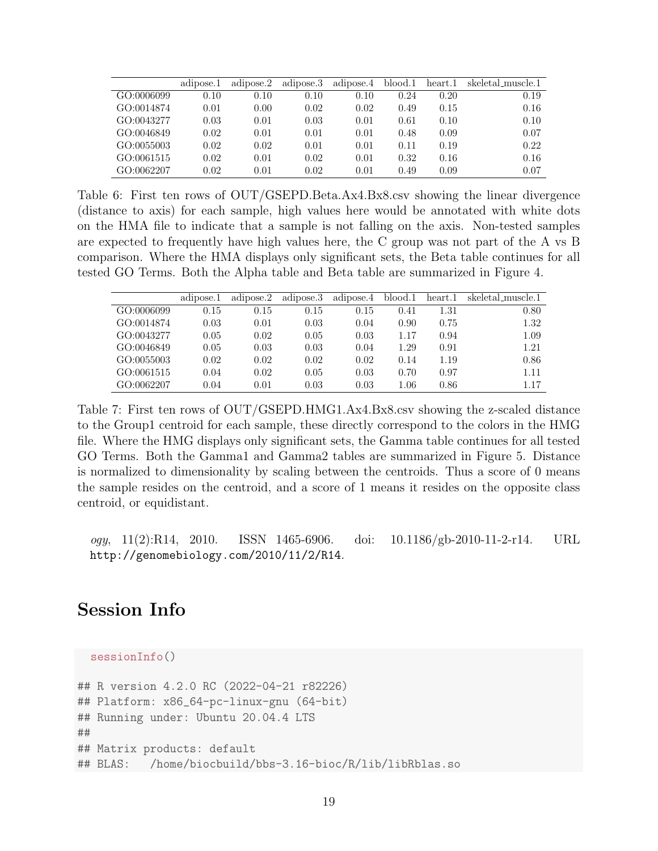|            | adipose.1 | adipose.2 | adipose.3 | adipose.4 | blood.1 | heart.1 | skeletal_muscle.1 |
|------------|-----------|-----------|-----------|-----------|---------|---------|-------------------|
| GO:0006099 | 0.10      | 0.10      | 0.10      | 0.10      | 0.24    | 0.20    | 0.19              |
| GO:0014874 | 0.01      | 0.00      | 0.02      | 0.02      | 0.49    | 0.15    | 0.16              |
| GO:0043277 | 0.03      | 0.01      | 0.03      | 0.01      | 0.61    | 0.10    | 0.10              |
| GO:0046849 | 0.02      | 0.01      | 0.01      | 0.01      | 0.48    | 0.09    | 0.07              |
| GO:0055003 | 0.02      | 0.02      | 0.01      | 0.01      | 0.11    | 0.19    | 0.22              |
| GO:0061515 | 0.02      | 0.01      | 0.02      | 0.01      | 0.32    | 0.16    | 0.16              |
| GO:0062207 | 0.02      | 0.01      | 0.02      | 0.01      | 0.49    | 0.09    | 0.07              |

Table 6: First ten rows of OUT/GSEPD.Beta.Ax4.Bx8.csv showing the linear divergence (distance to axis) for each sample, high values here would be annotated with white dots on the HMA file to indicate that a sample is not falling on the axis. Non-tested samples are expected to frequently have high values here, the C group was not part of the A vs B comparison. Where the HMA displays only significant sets, the Beta table continues for all tested GO Terms. Both the Alpha table and Beta table are summarized in Figure 4.

|            | adipose.1 | adipose.2 | adipose.3 | adipose.4 | blood.1  | heart.1 | skeletal_muscle.1 |
|------------|-----------|-----------|-----------|-----------|----------|---------|-------------------|
| GO:0006099 | 0.15      | 0.15      | 0.15      | 0.15      | 0.41     | 1.31    | 0.80              |
| GO:0014874 | 0.03      | 0.01      | 0.03      | 0.04      | 0.90     | 0.75    | 1.32              |
| GO:0043277 | 0.05      | 0.02      | 0.05      | 0.03      | 1.17     | 0.94    | 1.09              |
| GO:0046849 | 0.05      | 0.03      | 0.03      | 0.04      | 1.29     | 0.91    | 1.21              |
| GO:0055003 | 0.02      | 0.02      | 0.02      | 0.02      | 0.14     | 1.19    | 0.86              |
| GO:0061515 | 0.04      | 0.02      | 0.05      | 0.03      | 0.70     | 0.97    | 1.11              |
| GO:0062207 | 0.04      | 0.01      | 0.03      | 0.03      | $1.06\,$ | 0.86    | 1.17              |

Table 7: First ten rows of OUT/GSEPD.HMG1.Ax4.Bx8.csv showing the z-scaled distance to the Group1 centroid for each sample, these directly correspond to the colors in the HMG file. Where the HMG displays only significant sets, the Gamma table continues for all tested GO Terms. Both the Gamma1 and Gamma2 tables are summarized in Figure 5. Distance is normalized to dimensionality by scaling between the centroids. Thus a score of 0 means the sample resides on the centroid, and a score of 1 means it resides on the opposite class centroid, or equidistant.

ogy, 11(2):R14, 2010. ISSN 1465-6906. doi: 10.1186/gb-2010-11-2-r14. URL http://genomebiology.com/2010/11/2/R14.

### Session Info

```
sessionInfo()
```

```
## R version 4.2.0 RC (2022-04-21 r82226)
## Platform: x86_64-pc-linux-gnu (64-bit)
## Running under: Ubuntu 20.04.4 LTS
##
## Matrix products: default
## BLAS: /home/biocbuild/bbs-3.16-bioc/R/lib/libRblas.so
```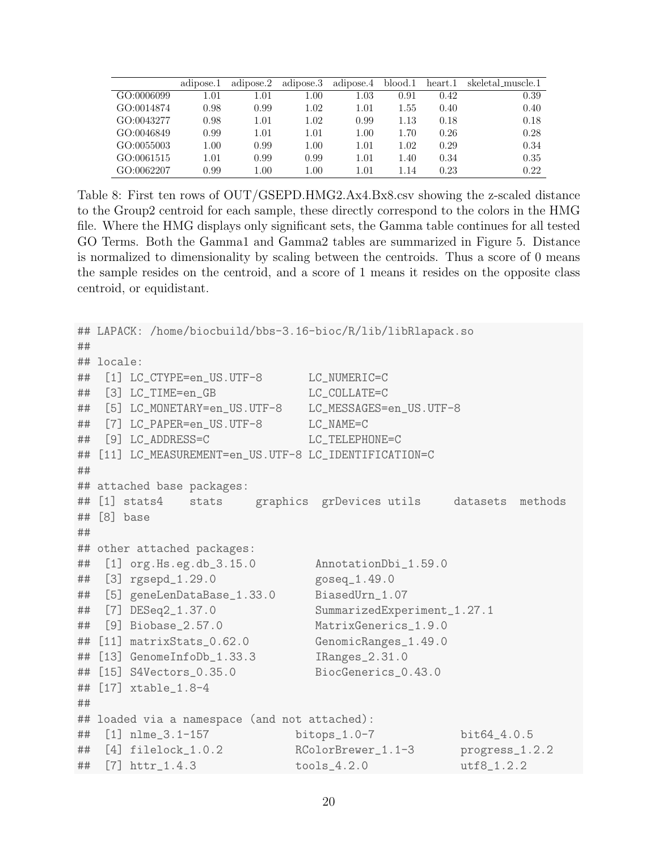|            | adipose.1 | adipose.2 | adipose.3 | adipose.4 | blood.1 | heart.1 | skeletal_muscle.1 |
|------------|-----------|-----------|-----------|-----------|---------|---------|-------------------|
| GO:0006099 | l.O1      | $1.01\,$  | $1.00\,$  | $1.03\,$  | 0.91    | 0.42    | 0.39              |
| GO:0014874 | 0.98      | 0.99      | 1.02      | $1.01\,$  | 1.55    | 0.40    | 0.40              |
| GO:0043277 | 0.98      | 1.01      | 1.02      | 0.99      | 1.13    | 0.18    | 0.18              |
| GO:0046849 | 0.99      | 1.01      | 1.01      | 1.00      | 1.70    | 0.26    | 0.28              |
| GO:0055003 | $1.00\,$  | 0.99      | 1.00      | 1.01      | 1.02    | 0.29    | 0.34              |
| GO:0061515 | 1.01      | 0.99      | 0.99      | 1.01      | 1.40    | 0.34    | 0.35              |
| GO:0062207 | 0.99      | 1.00      | $1.00\,$  | $1.01\,$  | 1.14    | 0.23    | 0.22.             |

Table 8: First ten rows of OUT/GSEPD.HMG2.Ax4.Bx8.csv showing the z-scaled distance to the Group2 centroid for each sample, these directly correspond to the colors in the HMG file. Where the HMG displays only significant sets, the Gamma table continues for all tested GO Terms. Both the Gamma1 and Gamma2 tables are summarized in Figure 5. Distance is normalized to dimensionality by scaling between the centroids. Thus a score of 0 means the sample resides on the centroid, and a score of 1 means it resides on the opposite class centroid, or equidistant.

```
## LAPACK: /home/biocbuild/bbs-3.16-bioc/R/lib/libRlapack.so
##
## locale:
## [1] LC_CTYPE=en_US.UTF-8 LC_NUMERIC=C
## [3] LC_TIME=en_GB LC_COLLATE=C
## [5] LC_MONETARY=en_US.UTF-8 LC_MESSAGES=en_US.UTF-8
## [7] LC_PAPER=en_US.UTF-8 LC_NAME=C
## [9] LC_ADDRESS=C LC_TELEPHONE=C
## [11] LC_MEASUREMENT=en_US.UTF-8 LC_IDENTIFICATION=C
##
## attached base packages:
## [1] stats4 stats graphics grDevices utils datasets methods
## [8] base
##
## other attached packages:
## [1] org.Hs.eg.db_3.15.0 AnnotationDbi_1.59.0
## [3] rgsepd_1.29.0 goseq_1.49.0
## [5] geneLenDataBase_1.33.0 BiasedUrn_1.07
## [7] DESeq2_1.37.0 SummarizedExperiment_1.27.1
## [9] Biobase_2.57.0 MatrixGenerics_1.9.0
## [11] matrixStats_0.62.0 GenomicRanges_1.49.0
## [13] GenomeInfoDb_1.33.3 IRanges_2.31.0
## [15] S4Vectors_0.35.0 BiocGenerics_0.43.0
## [17] xtable_1.8-4
##
## loaded via a namespace (and not attached):
## [1] nlme_3.1-157 bitops_1.0-7 bit64_4.0.5
## [4] filelock_1.0.2 RColorBrewer_1.1-3 progress_1.2.2
## [7] httr_1.4.3 tools_4.2.0 utf8_1.2.2
```